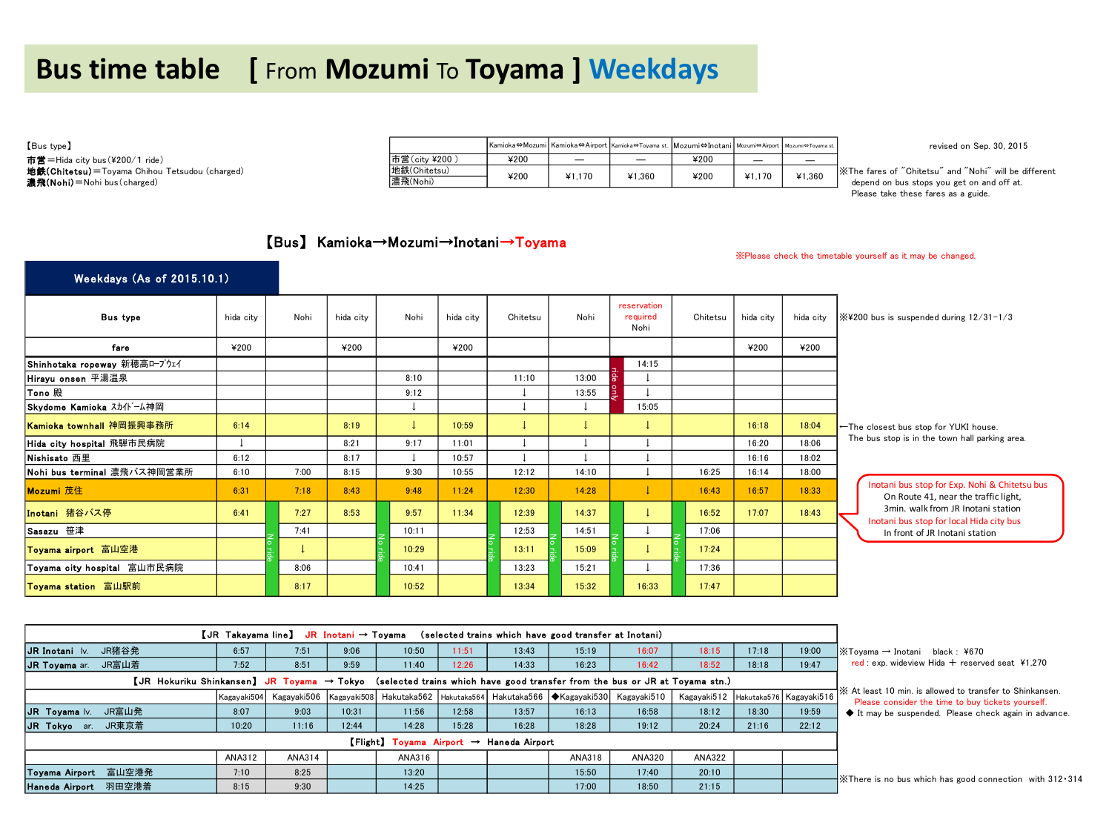## **Bus time table [** From **Mozumi** To **Toyama ] Weekdays**

市営=Hida city bus(¥200/1 ride)<br>**地鉄(Chitetsu)**=Toyama Chihou Tetsudou (charged)

| [Bus type]                                            |               |      |        |        | Kamioka⇔Mozumi Kamioka⇔Airport Kamioka⇔Toyama st. Mozumi⇔Inotani Mozumi⇔Airport Mozumi⇔Toyama st. |        |        | revised on Sep. 30, 2015                               |
|-------------------------------------------------------|---------------|------|--------|--------|---------------------------------------------------------------------------------------------------|--------|--------|--------------------------------------------------------|
| 市営=Hida city bus (¥200/1 ride)                        | 市営(city ¥200) | ¥200 |        |        | ¥200                                                                                              | -      |        |                                                        |
| <b>地鉄(Chitetsu)</b> =Toyama Chihou Tetsudou (charged) | 地鉄(Chitetsu)  | ¥200 | ¥1.170 | Y1.360 | ¥200                                                                                              | ¥1.170 | ¥1.360 | X The fares of "Chitetsu" and "Nohi" will be different |
| 濃飛(Nohi) = Nohi bus (charged)                         | 濃飛(Nohi)      |      |        |        |                                                                                                   |        |        | depend on bus stops you get on and off at.             |

Please take these fares as a guide.

## 【Bus】 Kamioka→Mozumi→Inotani→Toyama

※Please check the timetable yourself as it may be changed.

| Weekdays (As of 2015.10.1)   |           |      |           |       |           |          |       |     |                                 |          |           |           |                                                                                       |
|------------------------------|-----------|------|-----------|-------|-----------|----------|-------|-----|---------------------------------|----------|-----------|-----------|---------------------------------------------------------------------------------------|
| <b>Bus type</b>              | hida city | Nohi | hida city | Nohi  | hida city | Chitetsu | Nohi  |     | reservation<br>required<br>Nohi | Chitetsu | hida city | hida city | $\frac{1}{2}$ ¥200 bus is suspended during 12/31-1/3                                  |
| fare                         | ¥200      |      | ¥200      |       | ¥200      |          |       |     |                                 |          | ¥200      | ¥200      |                                                                                       |
| Shinhotaka ropeway 新穂高ロープウェイ |           |      |           |       |           |          |       |     | 14:15                           |          |           |           |                                                                                       |
| Hirayu onsen 平湯温泉            |           |      |           | 8:10  |           | 11:10    | 13:00 | န္က |                                 |          |           |           |                                                                                       |
| <b>Tono 殿</b>                |           |      |           | 9:12  |           |          | 13:55 | 흔   |                                 |          |           |           |                                                                                       |
| Skydome Kamioka スカイドーム神岡     |           |      |           |       |           |          |       |     | 15:05                           |          |           |           |                                                                                       |
| Kamioka townhall 神岡振興事務所     | 6:14      |      | 8:19      |       | 10:59     |          |       |     |                                 |          | 16:18     | 18:04     | ←The closest bus stop for YUKI house.                                                 |
| Hida city hospital 飛騨市民病院    |           |      | 8:21      | 9:17  | 11:01     |          |       |     |                                 |          | 16:20     | 18:06     | The bus stop is in the town hall parking area.                                        |
| Nishisato 西里                 | 6:12      |      | 8:17      |       | 10:57     |          |       |     |                                 |          | 16:16     | 18:02     |                                                                                       |
| Nohi bus terminal 濃飛バス神岡営業所  | 6:10      | 7:00 | 8:15      | 9:30  | 10:55     | 12:12    | 14:10 |     |                                 | 16:25    | 16:14     | 18:00     |                                                                                       |
| Mozumi 茂住                    | 6:31      | 7:18 | 8:43      | 9:48  | 11:24     | 12:30    | 14:28 |     |                                 | 16:43    | 16:57     | 18:33     | Inotani bus stop for Exp. Nohi & Chitetsu bus<br>On Route 41, near the traffic light, |
| Inotani 猪谷バス停                | 6:41      | 7:27 | 8:53      | 9:57  | 11:34     | 12:39    | 14:37 |     |                                 | 16:52    | 17:07     | 18:43     | 3min. walk from JR Inotani station<br>Inotani bus stop for local Hida city bus        |
| Sasazu 笹津                    |           | 7:41 |           | 10:11 |           | 12:53    | 14:51 |     |                                 | 17:06    |           |           | In front of JR Inotani station                                                        |
| Toyama airport 富山空港          |           |      |           | 10:29 |           | 13:11    | 15:09 |     |                                 | 17:24    |           |           |                                                                                       |
| Toyama city hospital 富山市民病院  |           | 8:06 |           | 10:41 |           | 13:23    | 15:21 |     |                                 | 17:36    |           |           |                                                                                       |
| Toyama station 富山駅前          |           | 8:17 |           | 10:52 |           | 13:34    | 15:32 |     | 16:33                           | 17:47    |           |           |                                                                                       |

| Toyama airport 富山空港         |                                                                                                                                     |        |       | 10:29  |       | 13:11                                                          | 15:09                                                                                            |        | 17:24                               |       |       |                                                                                                               |  |  |  |
|-----------------------------|-------------------------------------------------------------------------------------------------------------------------------------|--------|-------|--------|-------|----------------------------------------------------------------|--------------------------------------------------------------------------------------------------|--------|-------------------------------------|-------|-------|---------------------------------------------------------------------------------------------------------------|--|--|--|
| Toyama city hospital 富山市民病院 |                                                                                                                                     | 8:06   |       | 10:41  |       | 13:23                                                          | 15:21                                                                                            |        | 17:36                               |       |       |                                                                                                               |  |  |  |
| Toyama station 富山駅前         |                                                                                                                                     | 8:17   |       | 10:52  |       | 13:34                                                          | 15:32                                                                                            | 16:33  | 17:47                               |       |       |                                                                                                               |  |  |  |
|                             |                                                                                                                                     |        |       |        |       |                                                                |                                                                                                  |        |                                     |       |       |                                                                                                               |  |  |  |
|                             | 【JR Takayama line】 JR Inotani → Toyama<br>(selected trains which have good transfer at Inotani)                                     |        |       |        |       |                                                                |                                                                                                  |        |                                     |       |       |                                                                                                               |  |  |  |
|                             |                                                                                                                                     |        |       |        |       |                                                                |                                                                                                  |        |                                     |       |       |                                                                                                               |  |  |  |
| JR Inotani lv. JR猪谷発        | 6:57                                                                                                                                | 7:51   | 9:06  | 10:50  | 11:51 | 13:43                                                          | 15:19                                                                                            | 16:07  | 18:15                               | 17:18 | 19:00 | $\mathbb{X}$ Toyama $\rightarrow$ Inotani black : ¥670                                                        |  |  |  |
| JR Toyama ar. JR富山着         | 7:52                                                                                                                                | 8:51   | 9:59  | 11:40  | 12:26 | 14:33                                                          | 16:23                                                                                            | 16:42  | 18:52                               | 18:18 | 19:47 | red: exp. wideview Hida $+$ reserved seat ¥1.270                                                              |  |  |  |
|                             | [JR Hokuriku Shinkansen] JR Toyama $\rightarrow$ Tokyo (selected trains which have good transfer from the bus or JR at Toyama stn.) |        |       |        |       |                                                                |                                                                                                  |        |                                     |       |       |                                                                                                               |  |  |  |
|                             |                                                                                                                                     |        |       |        |       |                                                                | Kagayaki504 Kagayaki506 Kagayaki508 Hakutaka562 Hakutaka564 Hakutaka566 ◆Kagayaki530 Kagayaki510 |        | Kagayaki512 Hakutaka576 Kagayaki516 |       |       | X At least 10 min, is allowed to transfer to Shinkansen.<br>Please consider the time to buy tickets yourself. |  |  |  |
| JR Toyama Iv.<br>JR富山発      | 8:07                                                                                                                                | 9:03   | 10:31 | 11:56  | 12:58 | 13:57                                                          | 16:13                                                                                            | 16:58  | 18:12                               | 18:30 | 19:59 | It may be suspended. Please check again in advance.                                                           |  |  |  |
| JR Tokyo ar.<br>JR東京着       | 10:20                                                                                                                               | 11:16  | 12:44 | 14:28  | 15:28 | 16:28                                                          | 18:28                                                                                            | 19:12  | 20:24                               | 21:16 | 22:12 |                                                                                                               |  |  |  |
|                             |                                                                                                                                     |        |       |        |       | $F_{\text{light}}$ Toyama Airport $\rightarrow$ Haneda Airport |                                                                                                  |        |                                     |       |       |                                                                                                               |  |  |  |
|                             | <b>ANA312</b>                                                                                                                       | ANA314 |       | ANA316 |       |                                                                | ANA318                                                                                           | ANA320 | <b>ANA322</b>                       |       |       |                                                                                                               |  |  |  |
| Toyama Airport 富山空港発        | 7:10                                                                                                                                | 8:25   |       | 13:20  |       |                                                                | 15:50                                                                                            | 17:40  | 20:10                               |       |       |                                                                                                               |  |  |  |
| 羽田空港着<br>Haneda Airport     | 8:15                                                                                                                                | 9:30   |       | 14:25  |       |                                                                | 17:00                                                                                            | 18:50  | 21:15                               |       |       | X There is no bus which has good connection with 312.314                                                      |  |  |  |